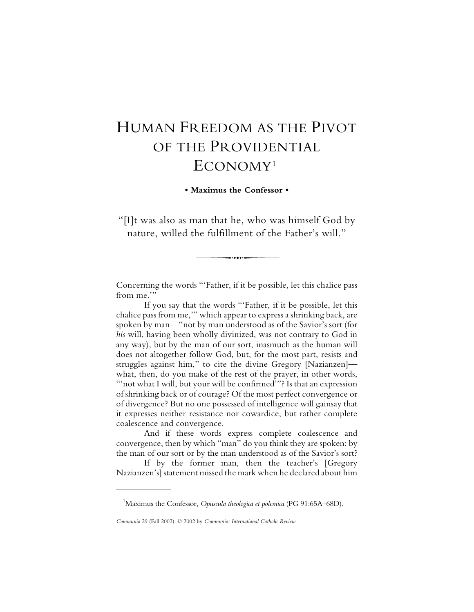## HUMAN FREEDOM AS THE PIVOT OF THE PROVIDENTIAL ECONOMY1

**• Maximus the Confessor •**

"[I]t was also as man that he, who was himself God by nature, willed the fulfillment of the Father's will."

-.....

Concerning the words "'Father, if it be possible, let this chalice pass from me."

If you say that the words "'Father, if it be possible, let this chalice pass from me,'" which appear to express a shrinking back, are spoken by man—"not by man understood as of the Savior's sort (for *his* will, having been wholly divinized, was not contrary to God in any way), but by the man of our sort, inasmuch as the human will does not altogether follow God, but, for the most part, resists and struggles against him," to cite the divine Gregory [Nazianzen] what, then, do you make of the rest of the prayer, in other words, "not what I will, but your will be confirmed"? Is that an expression of shrinking back or of courage? Of the most perfect convergence or of divergence? But no one possessed of intelligence will gainsay that it expresses neither resistance nor cowardice, but rather complete coalescence and convergence.

And if these words express complete coalescence and convergence, then by which "man" do you think they are spoken: by the man of our sort or by the man understood as of the Savior's sort?

If by the former man, then the teacher's [Gregory Nazianzen's] statement missed the mark when he declared about him

<sup>&</sup>lt;sup>1</sup>Maximus the Confessor, *Opuscula theologica et polemica* (PG 91:65A–68D).

*Communio* 29 (Fall 2002). © 2002 by *Communio: International Catholic Review*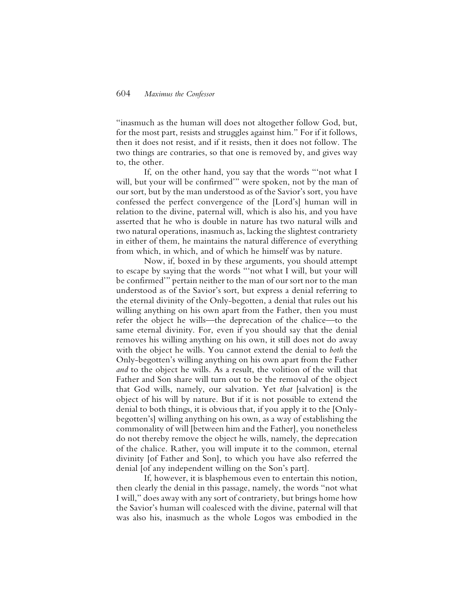## 604 *Maximus the Confessor*

"inasmuch as the human will does not altogether follow God, but, for the most part, resists and struggles against him." For if it follows, then it does not resist, and if it resists, then it does not follow. The two things are contraries, so that one is removed by, and gives way to, the other.

If, on the other hand, you say that the words "'not what I will, but your will be confirmed'" were spoken, not by the man of our sort, but by the man understood as of the Savior's sort, you have confessed the perfect convergence of the [Lord's] human will in relation to the divine, paternal will, which is also his, and you have asserted that he who is double in nature has two natural wills and two natural operations, inasmuch as, lacking the slightest contrariety in either of them, he maintains the natural difference of everything from which, in which, and of which he himself was by nature.

Now, if, boxed in by these arguments, you should attempt to escape by saying that the words "'not what I will, but your will be confirmed'" pertain neither to the man of our sort nor to the man understood as of the Savior's sort, but express a denial referring to the eternal divinity of the Only-begotten, a denial that rules out his willing anything on his own apart from the Father, then you must refer the object he wills—the deprecation of the chalice—to the same eternal divinity. For, even if you should say that the denial removes his willing anything on his own, it still does not do away with the object he wills. You cannot extend the denial to *both* the Only-begotten's willing anything on his own apart from the Father *and* to the object he wills. As a result, the volition of the will that Father and Son share will turn out to be the removal of the object that God wills, namely, our salvation. Yet *that* [salvation] is the object of his will by nature. But if it is not possible to extend the denial to both things, it is obvious that, if you apply it to the [Onlybegotten's] willing anything on his own, as a way of establishing the commonality of will [between him and the Father], you nonetheless do not thereby remove the object he wills, namely, the deprecation of the chalice. Rather, you will impute it to the common, eternal divinity [of Father and Son], to which you have also referred the denial [of any independent willing on the Son's part].

If, however, it is blasphemous even to entertain this notion, then clearly the denial in this passage, namely, the words "not what I will," does away with any sort of contrariety, but brings home how the Savior's human will coalesced with the divine, paternal will that was also his, inasmuch as the whole Logos was embodied in the